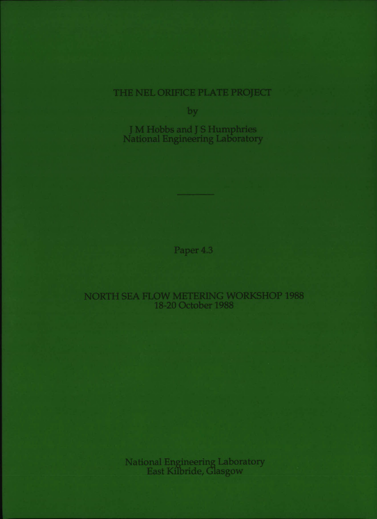# THE NEL ORIFICE PLATE PROJECT

bv

J M Hobbs and J S Humphri National Engineering Laboratory

Paper 4.3

## NORTH SEA FLOW METERING WORKSHOP 1988 18 20 October 1988

National Engineering Laboratory East Kilbride, Glasgov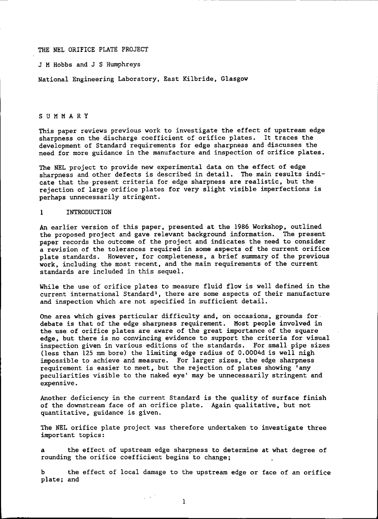THE NEL ORIFICE PLATE PROJECT

J <sup>M</sup> Hobbs and J <sup>S</sup> Humphreys

National Engineering Laboratory. East Kilbride, Glasgow

### SUMMARY

This paper reviews previous work to investigate the effect of upstream edge sharpness on the discharge coefficient of orifice plates. It traces the development of Standard requirements for edge sharpness and discusses the need for more guidance in the manufacture and inspection of orifice plates.

The NEL project to provide new experimental data on the effect of edge sharpness and other defects is described in detail. The main results indicate that the present criteria for edge sharpness are realistic. but the rejection of large orifice plates for very slight visible imperfections is perhaps unnecessarily stringent.

#### 1 INTRODUCTION

An earlier version of this paper. presented at the 1986 Workshop, outlined the proposed project and gave relevant background information. The present paper records the outcome of the project and indicates the need to consider a revision of the tolerances required in some aspects of the current orifice plate standards. However, for completeness. a brief summary of the previous work. including the most recent. and the main requirements of the current standards are included in this sequel.

While the use of orifice plates to measure fluid flow is well defined in the current international Standard<sup>1</sup>, there are some aspects of their manufacture and inspection which are not specified in sufficient detail.

One area which gives particular difficulty and, on occasions, grounds for debate is that of the edge sharpness requirement. Most people involved in the use of orifice plates are aware of the great importance of the square edge. but there is no convincing evidence to support the criteria for visual inspection given in various editions of the standards. For small pipe sizes (less than 125 mm bore) the limiting edge radius of O.0004d is well nigh impossible to achieve and measure. For larger sizes. the edge sharpness requirement is easier to meet, but the rejection of plates showing 'any peculiarities visible to the naked eye' may be unnecessarily stringent and expensive.

Another deficiency in the current Standard is the quality of surface finish of the downstream face of an orifice plate. Again qualitative. but not quantitative. guidance is given.

The NEt orifice plate project was therefore undertaken to investigate three important topics:

the effect of upstream edge sharpness to determine at what degree of rounding the orifice coefficient begins to change;

b the effect of local damage to the upstream edge or face of an orifice plate; and

 $\mu \sim 10^7$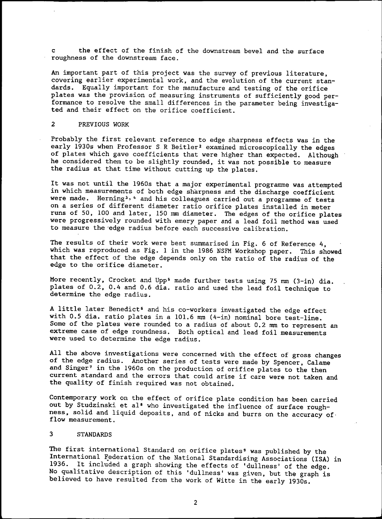the effect of the finish of the downstream bevel and the surface roughness of the downstream face.

An important part of this project was the survey of previous literature. covering earlier experimental work, and the evolution of the current standards. Equally important for the manufacture and testing of the orifice plates was the provision of measuring instruments of sufficiently good performance to resolve the small differences in the parameter being investigated and their effect on the orifice coefficient.

### 2 PREVIOUS WORK

Probably the first relevant reference to edge sharpness effects was in the early 1930s when Professor S R Beitler<sup>2</sup> examined microscopically the edges of plates which gave coefficients that were higher than expected. Although he considered them to be slightly rounded, it was not possible to measure the radius at that time without cutting up the plates.

It was not until the 1960s that a major experimental programme was attempted in which measurements of both edge sharpness and the discharge coefficient were made. Herning<sup>3, 4</sup> and his colleagues carried out a programme of tests on a series of different diameter ratio orifice plates installed in meter runs of 50, 100 and later, 150 mm diameter. The edges of the orifice plates were progressively rounded with emery paper and a lead foil method was used to measure the 'edge radius before each successive calibration.

The results of their work were best summarised in Fig. 6 of Reference 4, which was reproduced as Fig. 1 in the 1986 NSFM Workshop paper. This showed that the effect of the edge depends only on the ratio of the radius of the edge to the orifice diameter.

More recently, Crocket and Upp<sup>5</sup> made further tests using 75 mm (3-in) dia. plates of 0.2. 0.4 and 0.6 dia. ratio and used the lead foil technique to determine the edge radius.

A little later Benedict<sup>6</sup> and his co-workers investigated the edge effect with 0.5 dia. ratio plates in a 101.6 mm (4-in) nominal bore test-line. Some of the plates were rounded to a radius of about 0.2 mm to represent an extreme case of edge roundness. Both optical and lead foil measurements were used to determine the edge radius.

All the above investigations were concerned with the effect of gross changes of the edge radius. Another series of tests were made by Spencer, Calame and Singer<sup>7</sup> in the 1960s on the production of orifice plates to the then current standard and the errors that could arise if care were not taken and the quality of finish required was not obtained.

Contemporary work on the effect of orifice plate condition has been carried out by Studzinski et al<sup>8</sup> who investigated the influence of surface roughness. solid and liquid deposits, and of nicks and burrs on the accuracy of. flow measurement.

#### 3 STANDARDS

The first international Standard on orifice plates<sup>9</sup> was published by the International Federation of the National Standardising Associations (ISA) in 1936. It included a graph showing the effects of 'dullness' of the edge. No qualitative description of this 'dullness' was given. but the graph is believed to have resulted from the work of Witte in the early 1930s.

2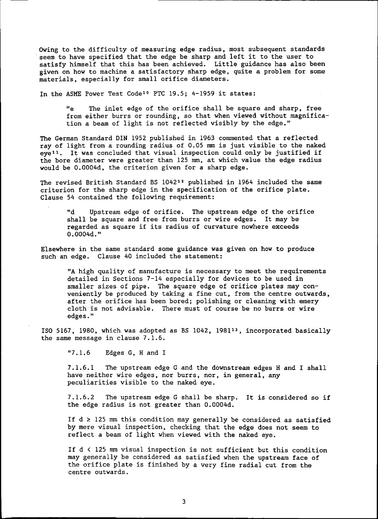OWing to the difficulty of measuring edge radius. most subsequent standards .seem to have specified that the edge be sharp and left it to the user to satisfy himself that this has been achieved. Little guidance has also been given on how to machine a satisfactory sharp edge. quite a problem for some materials. especially for small orifice diameters.

In the ASME Power Test Code<sup>10</sup> PTC 19.5; 4-1959 it states:

Ite The inlet edge of the orifice shall be square and sharp. free from either burrs or rounding, so that when viewed without magnification a beam of light is not reflected visibly by the edge."

The German Standard DIN 1952 published in 1963 commented that a reflected ray of light from a rounding radius of 0.05 mm is just visible to the naked eye<sup>11</sup>. It was concluded that visual inspection could only be justified if the bore diameter were greater than 125 mm, at which value the edge radius would be 0.0004d. the criterion given for a sharp edge.

The revised British Standard BS 104212 published in 1964 included the same criterion for the sharp edge in the specification of the orifice plate. Clause 54 contained the following requirement:

"d Upstream edge of orifice. The upstream edge of the orifice shall be square and free from burrs or wire edges. It may be regarded as square if its radius of curvature nowhere exceeds  $0.0004d.$ 

Elsewhere in the same standard some guidance was given on how to produce such an edge. Clause 40 included the statement:

"A high quality of manufacture is necessary to meet the requirements detailed in Sections 7-14 especially for devices to be used in smaller sizes of pipe. The square edge of orifice plates may conveniently be produced by taking a fine cut, from the centre outwards, after the orifice has been bored; polishing or cleaning with emery cloth is not advisable. There must of course be no burrs or wire edges."

ISO 5167. 1980. which was adopted as BS 1042. 1981<sup>13</sup>. incorporated basically the same message in clause 7.1.6.

 $"7.1.6$  Edges G, H and I

7.1.6.1 The upstream edge G and the downstream edges H and I shall have neither wire edges, nor burrs, nor, in general, any peculiarities visible to the naked eye.

7.1.6.2 The upstream edge G shall be sharp. It is considered so if the edge radius is not greater than 0.0004d.

If  $d \geq 125$  mm this condition may generally be considered as satisfied by mere visual inspection. checking that the edge does not seem to reflect a beam of light when viewed with the naked eye.

If d < 125 mm visual inspection is not sufficient but this condition may generally be considered as satisfied when the upstream face of the orifice plate is finished by a very fine radial cut from the centre outwards.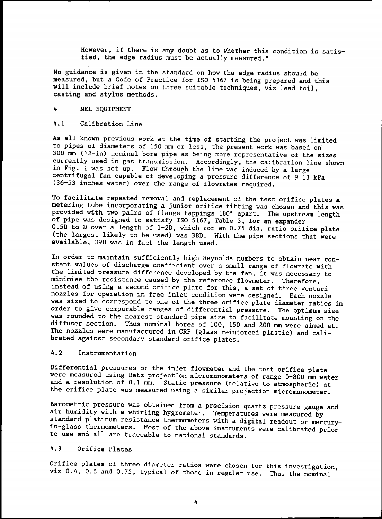However, if there is any doubt as to whether this condition is satisfied, the edge radius must be actually measured."

No guidance is given in the standard on how the edge radius should be measured, but a Code of Practice for ISO 5167 is being prepared and this will include brief notes on three suitable techniques, viz lead foil, casting and stylus methods.

## 4 NEL EQUIPMENT

### 4.1 Calibration Line

As all known previous work at the time of starting the project was limited to pipes of diameters of 150 mm or less, the present work was based on 300 mm (12-in) nominal bore pipe as being more representative of the sizes currently used in gas transmission. Accordingly, the calibration line shown in Fig. 1 was set up. Flow through the line was induced by a large centrifugal fan capable of developing a pressure difference of 9-13 kPa (36-53 inches water) over the range of flowrates required.

To facilitate repeated removal and replacement of the test orifice plates a metering tube incorporating a junior orifice fitting was chosen and this was provided with two pairs of flange tappings 180° apart. The upstream length of pipe was designed to satisfy ISO 5167. Table 3, for an expander O.SD to 0 over a length of 1-20, which for an 0.75 dia. ratio orifice plate (the largest likely to be used) *was* 38D. With the pipe sections that were available, 390 was in fact the length used.

In order to maintain sufficiently high Reynolds numbers to obtain near constant values of discharge coefficient over a small range of flowrate with the limited pressure difference developed by the fan, it was necessary to minimise the resistance caused by the reference flowmeter. Therefore, instead of using a second orifice plate for this, a set of three venturi nozzles for operation in free inlet condition were designed. Each nozzle was sized to correspond to one of the three orifice plate diameter ratios in order to give comparable ranges of differential pressure. The optimum size was rounded to the nearest standard pipe size to facilitate mounting on the diffuser section. Thus nominal bores of 100, 150 and 200 mm were aimed at. The nozzles were manufactured in GRP (glass reinforced plastic) and calibrated against secondary standard orifice plates.

## 4.2 Instrumentation

Differential pressures of the inlet flowmeter and the test orifice plate were measured using Betz projection micromanometers of range 0-800 mm water and a resolution of 0.1 mm. Static pressure (relative to atmospheric) at the orifice plate was measured using a similar projection micromanometer.

Barometric pressure was obtained from a precision quartz pressure gauge and air humidity with a whirling hygrometer. Temperatures were measured by standard platinum resistance thermometers with a digital readout or mercuryin-glass thermometers. Most of the above instruments were calibrated prior to use and all are traceable to national standards.

## 4.3 Orifice Plates

Orifice plates of three diameter ratios *were* chosen for this investigation, viz 0.4, 0.6 and 0.75, typical of those in regular use. Thus the nominal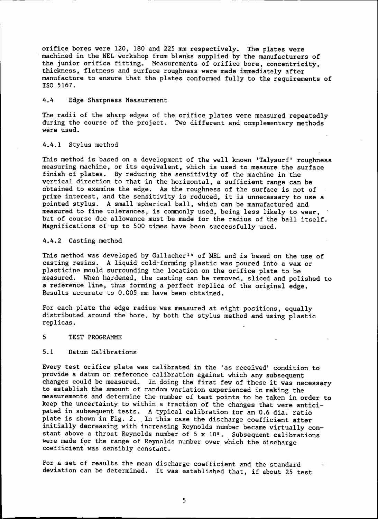orifice bores were 120, 180 and 225 mm respectively. The plates were machined in the NEL workshop from blanks supplied by the manufacturers of the junior orifice fitting. Measurements of orifice bore. concentricity. thickness. flatness and surface roughness were made immediately after manufacture to ensure that the plates conformed fully to the requirements of ISO 5167.

## 4.4 Edge Sharpness Measurement

The radii of the sharp edges of the orifice plates were measured repeatedly during the course of the project. Two different and complementary methods were used.

#### 4.4.1 Stylus method

This method is based on a development of the well known 'Talysurf' roughness measuring machine, or its equivalent, which is used to measure the surface finish of plates. By reducing the sensitivity of the machine in the vertical direction to that in the horizontal, a sufficient range can be obtained to examine the edge. As the roughness of the surface is not of prime interest, and the sensitivity is reduced, it is unnecessary to use a pointed stylus. A small spherical ball. which can be manufactured and measured to fine tolerances, is commonly used, being less likely to wear. but of course due allowance must be made for the radius of the ball itself. Magnifications of up to 500 times have been successfully used.

## 4.4.2 Casting method

This method was developed by Gallacher<sup>14</sup> of NEL and is based on the use of casting resins. A liquid cold-forming plastic was poured into a wax or plasticine mould surrounding the location on the orifice plate to be measured. When hardened, the casting can be removed. sliced and polished to a reference line, thus forming a perfect replica of the original edge. Results accurate to 0.005 mm have been obtained.

For each plate the edge radius was measured at eight positions, equally distributed around the bore. by both the stylus method and using plastic replicas.

## 5 TEST PROGRAMME

#### 5.1 Datum Calibrations

Every test orifice plate was calibrated in the 'as received' condition to provide a datum or reference calibration against which any subsequent changes could be measured. In doing the first few of these it was necessary to establish the amount of random variation experienced in making the measurements and determine the number of test points to be taken in order to keep the uncertainty to within a fraction of the changes that were anticipated in subsequent tests. A typical calibration for an 0.6 dia. ratio plate is shown in Fig. 2. In this case the discharge coefficient after initially decreasing with increasing Reynolds number became virtually constant above a throat Reynolds number of  $5 \times 10^5$ . Subsequent calibrations were made for the range of Reynolds number over which the discharge coefficient was sensibly constant.

For a set of results the mean discharge coefficient and the standard deviation can be determined. It was established that, if about 25 test

5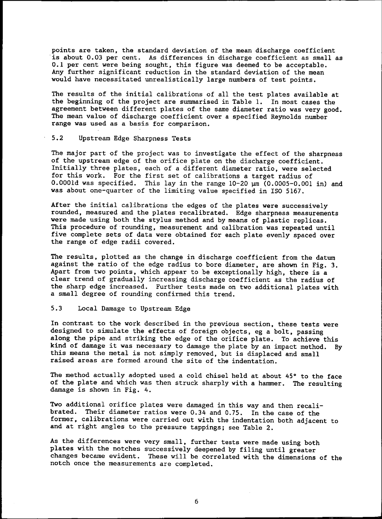points are taken, the standard deviation of the mean discharge coefficient is about 0.03 per cent. As differences in discharge coefficient as small as 0.1 per cent were being sought, this figure was deemed to be acceptable. Any further significant reduction in the standard deviation of the mean would have necessitated unrealistically large numbers of test points.

The results of the initial calibrations of all the test plates available at the beginning of the project are summarised in Table 1. In most cases the agreement between different plates of the same diameter ratio was very good. The mean value of discharge coefficient over a specified Reynolds number range was used as a basis for comparison.

## 5.2 Upstream Edge Sharpness Tests

The major part of the project was to investigate the effect of the sharpness of the upstream edge of the orifice plate on the discharge coefficient. Initially three plates, each of a different diameter ratio, were selected for this work. For the first set of calibrations a target radius of  $0.0001d$  was specified. This lay in the range  $10-20 \text{ }\mu\text{m}$  (0.0005-0.001 in) and was about one-quarter of the limiting value specified in ISO 5167.

After the initial calibrations the edges of the plates were successively rounded, measured and the plates recalibrated. Edge sharpness measurements were made using both the stylus method and by means of plastic replicas. This procedure of rounding, measurement and calibration was repeated until five complete sets of data were obtained for each plate evenly spaced over the range of edge radii covered.

The results, plotted as the change in discharge coefficient from the datum against the ratio of the edge radius to bore diameter, are shown in Fig. 3. Apart from two points, which appear to be exceptionally high. there is a clear trend of gradually increasing discharge coefficient as the radius of the sharp edge increased. Further tests made on two additional plates with a small degree of rounding confirmed this trend.

## 5.3 Local Damage to Upstream Edge

In contrast to the work described in the previous section, these tests were designed to simulate the effects of foreign objects, eg a bolt, passing along the pipe and striking the edge of the orifice plate. To achieve this kind of damage it was necessary to damage the plate by an impact method. By this means the metal is not simply removed, but is displaced and small raised areas are formed around the site of the indentation.

The method actually adopted used a cold chisel held at about 45° to the face of the plate and which was then struck sharply with a hammer. The resulting damage is shown in Fig. 4.

Two additional orifice plates were damaged in this way and then recalibrated. Their diameter ratios were 0.34 and 0.75. In the case of the former. calibrations were carried out with the indentation both adjacent to and at right angles to the pressure tappings; see Table 2.

As the differences were very small, further tests were made using both plates with the notches successively deepened by filing until greater changes became evident. These will be correlated with the dimensions of the notch once the measurements are completed.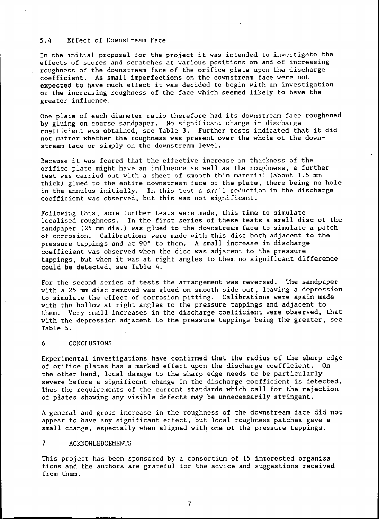### 5.4 Effect of Downstream Face

In the initial proposal for the project· it was intended to investigate the effects of scores and scratches at various positions on and of increasing roughness of the downstream face of the orifice plate upon the discharge coefficient. As small imperfections on the downstream face were not expected to have much effect it was decided to begin with an investigation of the increasing roughness of the face which seemed likely to have the greater influence.

One plate of each diameter ratio therefore had its downstream face roughened by gluing on coarse sandpaper. No significant change in discharge coefficient was obtained, see Table 3. Further tests indicated that it did not matter whether the roughness was present over the whole of the downstream face or simply on the downstream level.

Because it was feared that the effective increase in thickness of the orifice plate might have an influence as well as the roughness, a further test was carried out with a sheet of smooth thin material (about 1.5 mm thick) glued to the entire downstream face of the plate, there being no hole in the annulus initially. In this test a small reduction in the discharge coefficient was observed, but this was not significant.

Following this. some further tests were made, this time to simulate localised roughness. In the first series of these tests a small disc of the sandpaper (25 mm dia.) was glued to the downstream face to simulate a patch of corrosion. Calibrations were made with this disc both adjacent to the pressure tappings and at 90° to them. A small increase in discharge coefficient was observed when the disc was adjacent to the pressure tappings, but when it was at right angles to them no significant difference could be detected, see Table 4.

For the second series of tests the arrangement was reversed. The sandpaper with a 25 mm disc removed was glued on smooth side out, leaving a depression to simulate the effect of corrosion pitting. Calibrations were again made with the hollow at right angles to the pressure tappings and adjacent to them. Very small increases in the discharge coefficient were observed, that with the depression adjacent to the pressure tappings being the greater, see Table 5.

## 6 CONCLUSIONS

Experimental investigations have confirmed that the radius of the sharp edge of orifice plates has a marked effect upon the discharge coefficient. On the other hand. local damage to the sharp edge needs to be·particularly severe before a significant change in the discharge coefficient is detected. Thus the requirements of the current standards which call for the rejection of plates showing any visible defects may be unnecessarily stringent.

A general and gross increase in the roughness of the downstream face did not appear to have any significant effect, but local roughness patches gave a small change, especially when aligned with one of the pressure tappings.

## 7 ACKNOWLEDGEMENTS

This project has been sponsored by a consortium of 15 interested organisations and the authors are grateful for the advice and suggestions received from them.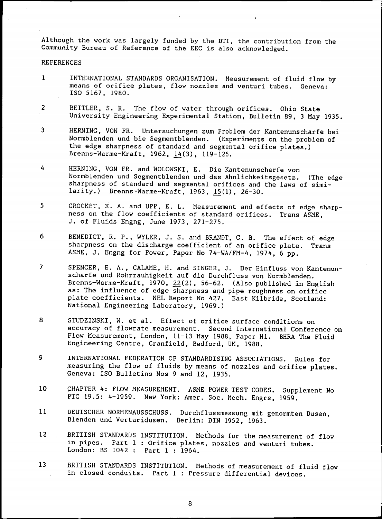Although the work was largely funded by the DTI, the contribution from the Community Bureau of Reference of the EEC is also acknowledged.

### REFERENCES

- 1 INTERNATIONAL STANDARDS ORGANISATION. Measurement of fluid flow by rneans of orifice plates, flow nozzles and venturi tubes. Geneva: ISO 5167, 1980.
- 2 BEITLER. S. R. The flow of water through orifices. Ohio State University Engineering Experimental Station, Bulletin 89, 3 May 1935.
- 3 HERNING. VON FR. Untersuchungen zum Problem der Kantenunscharfe bei Normblenden und bie Segmentblenden. (Experiments on the problem of the edge sharpness of standard and segmental orifice plates.) Brenns-Warme-Kraft, 1962, 14(3), 119-126.
- 4 HERNING, VON FR. and WOLOWSKI, E. Die Kantenunscharfe von Normblenden und Segmentblenden und das Ahnlichkeitsgesetz. (The edge sharpness of standard and segmental orifices and the laws of similarity.) Brenns-Warme-Kraft, 1963, 15(1), 26-30.
- 5 CROCKET, K. A. and UPP, E. L. Measurement and effects of edge sharpness on the flow coefficients of standard orifices. Trans ASME, J. of Fluids Engng, June 1973. 271-275.
- 6 BENEDICT, R. P., WYLER, J. S. and BRANDT, G. B. The effect of edge sharpness on the discharge coefficient of an orifice plate. Trans ASME, J. Engng for Power. Paper No 74-WA/FM-4, 1974, 6 pp.
- 7 SPENCER, E. A., CALAME, H. and SINGER. J. Der Einfluss von Kantenunscharfe und Rohrrauhigkeit auf die Durchfluss von Normblenden. Brenns-Warme-Kraft,  $1970$ ,  $22(2)$ , 56-62. (Also published in English as: The influence of edge sharpness and pipe roughness on orifice plate coefficients. NEL Report No 427. East Kilbride, Scotland: National Engineering Laboratory, 1969.)
- 8 STUDZINSKI. W. et al. Effect of orifice surface conditions on accuracy of flowrate measurement. Second International Conference on Flow Measurement, London. 11-13 May 1988, Paper HI. BHRA The Fluid Engineering Centre, Cranfield, Bedford, UK, 1988.
- 9 INTERNATIONAL FEDERATION OF STANDARDISING ASSOCIATIONS. Rules for measuring the flow of fluids by means of nozzles and orifice plates. Geneva: ISO Bulletins Nos 9 and 12, 1935.
- 10 CHAPTER 4: FLOW MEASUREMENT. *ASHE* POWER TEST CODES. Supplement No PTC 19.5: 4-1959. New York: Amer. Soc. Mech. Engrs, 1959.
- 11 DEUTSCHER NORMENAUSSCHUSS. Blenden und Verturidusen. Durchflussmessung mit genormten Dusen, Berlin: DIN 1952. 1963.
- 12 BRITISH STANDARDS INSTITUTION. Methods for the measurement of flow in pipes. Part 1 : Orifice plates, nozzles and venturi tubes. London: BS 1042: Part 1 : 1964.
- 13 BRITISH STANDARDS INSTITUTION. Methods of measurement of fluid flow in closed conduits. Part 1 : Pressure differential devices.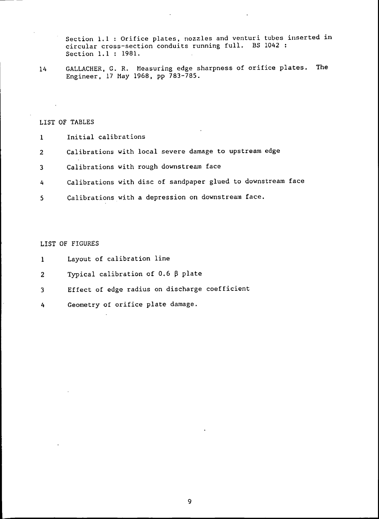Section 1.1 : Orifice plates, nozzles and venturi tubes inserted in circular cross-section conduits running full. BS 1042 : Section 1.1 : 1981.

14 GALLACHER, G. R. Measuring edge sharpness of orifice plates. The Engineer, 17 Hay 1968, pp 783-785.

LIST OF TABLES

- 1 Initial calibrations
- 2 Calibrations with local severe damage to upstream edge
- 3 Calibrations with rough downstream face
- 4 Calibrations with disc of sandpaper glued to downstream face
- 5 Calibrations with a depression on downstream face.

LIST OF FIGURES

- 1 Layout of calibration line
- 2 Typical calibration of  $0.6~\beta$  plate
- 3 Effect of edge radius on discharge coefficient
- 4 Geometry of orifice plate damage.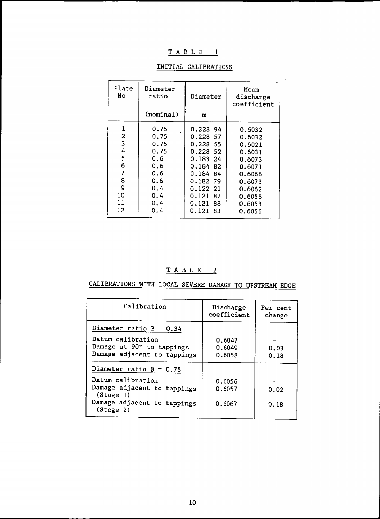## $T$  A B L E 1

 $\mathcal{A}$ 

 $\mathcal{L}$ 

| Plate<br>No | Diameter<br>ratio | Diameter    | Mean<br>discharge<br>coefficient |
|-------------|-------------------|-------------|----------------------------------|
|             | (nominal)         | m           |                                  |
|             | 0.75              | 0.228 94    | 0.6032                           |
| 2           | 0.75              | 0.228 57    | 0.6032                           |
| 3           | 0.75              | 0.228 55    | 0.6021                           |
| 4           | 0.75              | 0.228 52    | 0.6031                           |
| 5           | 0.6               | 0.18324     | 0.6073                           |
| 6           | 0.6               | 0.184 82    | 0.6071                           |
| 7           | 0.6               | 0.184<br>84 | 0.6066                           |
| 8           | 0.6               | 0.182 79    | 0.6073                           |
| 9           | 0.4               | 0.122 21    | 0.6062                           |
| 10          | 0.4               | 0.121<br>87 | 0.6056                           |
| 11          | 0.4               | 0.121<br>88 | 0.6053                           |
| 12          | 0.4               | 0.121 83    | 0.6056                           |

## INITIAL CALIBRATIONS

TAB L E 2

 $\sim$ 

CALIBRATIONS WITH LOCAL SEVERE DAMAGE TO UPSTREAM EDGE

| Calibration                                                                                               | Discharge<br>coefficient   | Per cent<br>change |
|-----------------------------------------------------------------------------------------------------------|----------------------------|--------------------|
| Diameter ratio $B = 0.34$                                                                                 |                            |                    |
| Datum calibration<br>Damage at 90° to tappings<br>Damage adjacent to tappings                             | 0.6047<br>0.6049<br>0.6058 | 0.03<br>0.18       |
| Diameter ratio $B = 0.75$                                                                                 |                            |                    |
| Datum calibration<br>Damage adjacent to tappings<br>(Stage 1)<br>Damage adjacent to tappings<br>(Stage 2) | 0.6056<br>0.6057<br>0.6067 | 0.02<br>0.18       |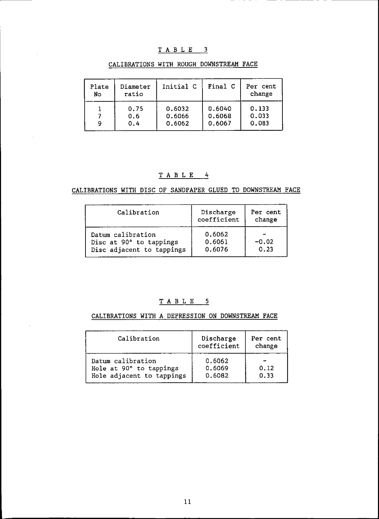## TABLE 3

| Plate<br>No | Diameter<br>ratio | Initial C | Final C | Per cent<br>change |
|-------------|-------------------|-----------|---------|--------------------|
| 9           | 0.75              | 0.6032    | 0.6040  | 0.133              |
|             | 0.6               | 0.6066    | 0.6068  | 0.033              |
|             | 0.4               | 0.6062    | 0.6067  | 0.083              |

## CALIBRATIONS WITH ROUGH DOWNSTREAM FACE

## TAB L E 4

CALIBRATIONS WITH DISC OF SANDPAPER GLUED TO DOWNSTREAM FACE

| Calibration                                                               | Discharge<br>coefficient   | Per cent<br>change |
|---------------------------------------------------------------------------|----------------------------|--------------------|
| Datum calibration<br>Disc at 90° to tappings<br>Disc adjacent to tappings | 0.6062<br>0.6061<br>0.6076 | $-0.02$<br>0.23    |

## $T$  A B L E  $-5$

## CALIBRATIONS WITH A DEPRESSION ON DOWNSTREAM FACE

| Calibration                                                               | Discharge<br>coefficient   | Per cent<br>change |
|---------------------------------------------------------------------------|----------------------------|--------------------|
| Datum calibration<br>Hole at 90° to tappings<br>Hole adjacent to tappings | 0.6062<br>0.6069<br>0.6082 | 0.12<br>0.33       |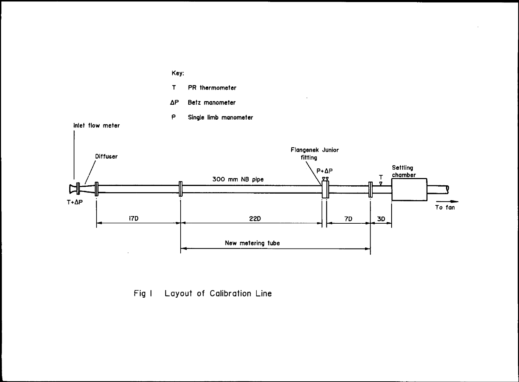

Fig I Layout of Calibration Line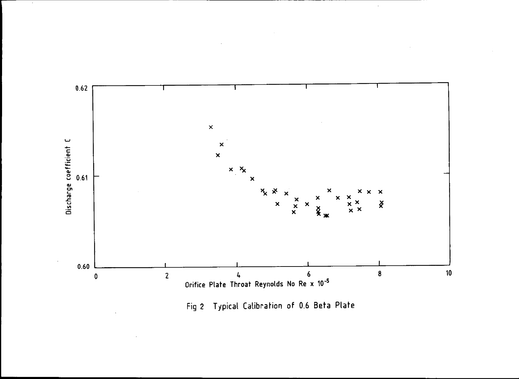

Fig 2 Typical Calibration of 0.6 Beta Plate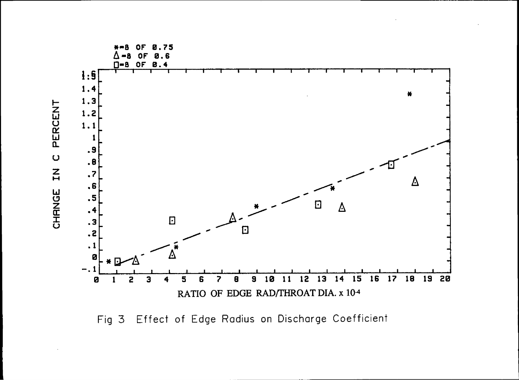

Fig 3 Effect of Edge Radius on Discharge Coefficient

PERCENT  $\overline{C}$  $\mathbf{z}$ CHANGE